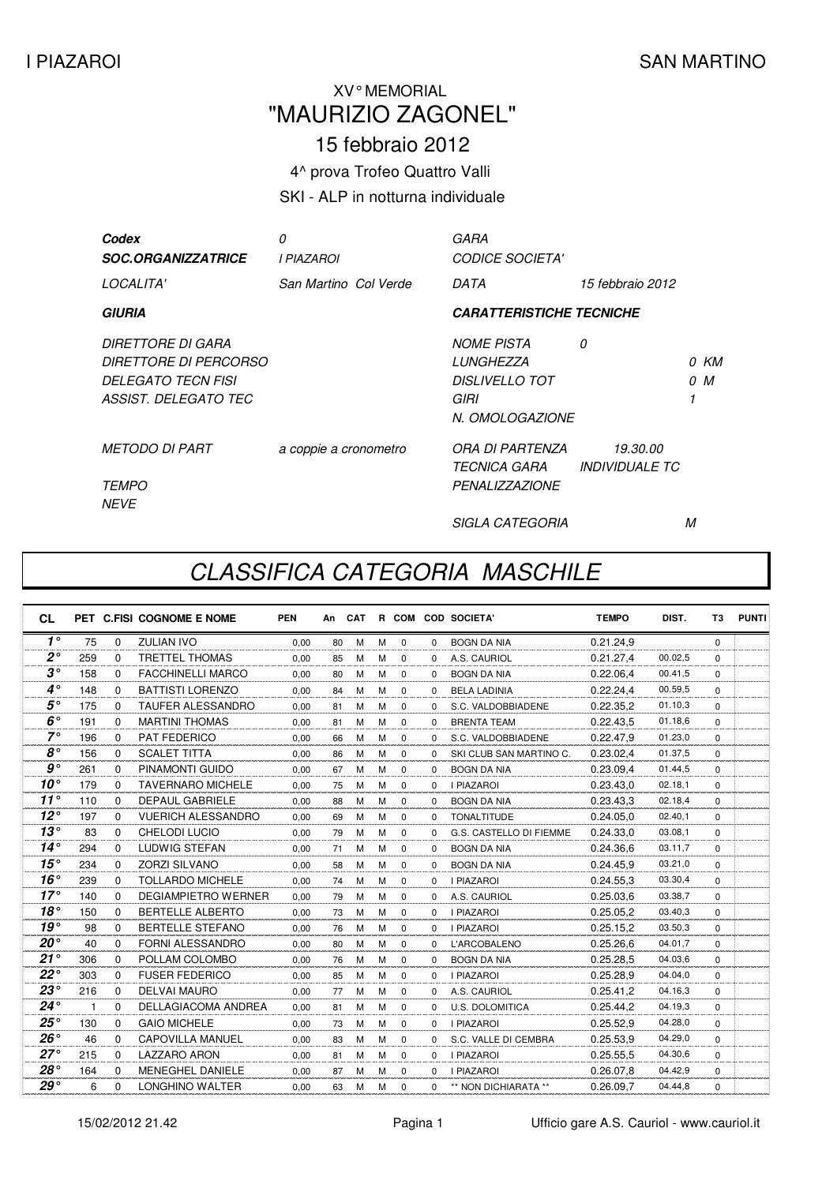M

## XV° MEMORIAL "MAURIZIO ZAGONEL"

15 febbraio 2012

4^ prova Trofeo Quattro Valli

SKI - ALP in notturna individuale

| Codex<br><b>SOC.ORGANIZZATRICE</b>                                                                     | 0<br>I PIAZAROI       | GARA<br><b>CODICE SOCIETA'</b>                                                            |                                                 |             |
|--------------------------------------------------------------------------------------------------------|-----------------------|-------------------------------------------------------------------------------------------|-------------------------------------------------|-------------|
| LOCALITA'                                                                                              | San Martino Col Verde | DATA                                                                                      | 15 febbraio 2012                                |             |
| <b>GIURIA</b>                                                                                          |                       | <b>CARATTERISTICHE TECNICHE</b>                                                           |                                                 |             |
| DIRETTORE DI GARA<br><i>DIRETTORE DI PERCORSO</i><br><b>DELEGATO TECN FISI</b><br>ASSIST. DELEGATO TEC |                       | <b>NOME PISTA</b><br><b>LUNGHEZZA</b><br><b>DISLIVELLO TOT</b><br>GIRI<br>N. OMOLOGAZIONE | 0                                               | 0 KM<br>0 M |
| <b>METODO DI PART</b><br><b>TEMPO</b><br><b>NFVF</b>                                                   | a coppie a cronometro | ORA DI PARTENZA<br>TECNICA GARA<br><b>PENALIZZAZIONE</b>                                  | <i>19.30.00</i><br><i><b>INDIVIDUALE TC</b></i> |             |

## CLASSIFICA CATEGORIA MASCHILE

SIGLA CATEGORIA

| <b>CL</b>      |              |          | PET C.FISI COGNOME E NOME  | <b>PEN</b> | An | CAT |   |             |          | R COM COD SOCIETA'      | <b>TEMPO</b> | DIST.   | T3       | <b>PUNTI</b> |
|----------------|--------------|----------|----------------------------|------------|----|-----|---|-------------|----------|-------------------------|--------------|---------|----------|--------------|
| $1^{\circ}$    | 75           | $\Omega$ | <b>ZULIAN IVO</b>          | 0.00       | 80 | M   | M | $\mathbf 0$ | $\Omega$ | <b>BOGN DA NIA</b>      | 0.21.24,9    |         | $\Omega$ |              |
| $2^{\circ}$    | 259          | $\Omega$ | <b>TRETTEL THOMAS</b>      | 0.00       | 85 | м   | м | $\Omega$    | $\Omega$ | A.S. CAURIOL            | 0.21.27,4    | 00.02,5 | $\Omega$ |              |
| $3^{\circ}$    | 158          | $\Omega$ | <b>FACCHINELLI MARCO</b>   | 0.00       | 80 | м   | M | $\Omega$    | $\Omega$ | <b>BOGN DA NIA</b>      | 0.22.06.4    | 00.41,5 | $\Omega$ |              |
| $4^\circ$      | 148          | $\Omega$ | <b>BATTISTI LORENZO</b>    | 0.00       | 84 | М   | м | $\Omega$    | $\Omega$ | <b>BELA LADINIA</b>     | 0.22.24,4    | 00.59,5 | $\Omega$ |              |
| $5^{\circ}$    | 175          | $\Omega$ | <b>TAUFER ALESSANDRO</b>   | 0.00       | 81 | M   | M | $\Omega$    | $\Omega$ | S.C. VALDOBBIADENE      | 0.22.35.2    | 01.10,3 | $\Omega$ |              |
| $6^\circ$      | 191          | $\Omega$ | <b>MARTINI THOMAS</b>      | 0,00       | 81 | M   | M | $\mathbf 0$ | $\Omega$ | <b>BRENTA TEAM</b>      | 0.22.43,5    | 01.18,6 | $\Omega$ |              |
| $7^\circ$      | 196          | $\Omega$ | PAT FEDERICO               | 0.00       | 66 | M   | M | 0           | $\Omega$ | S.C. VALDOBBIADENE      | 0.22.47.9    | 01.23,0 | $\Omega$ |              |
| $8^{\circ}$    | 156          | $\Omega$ | <b>SCALET TITTA</b>        | 0.00       | 86 | M   | м | $\mathbf 0$ | $\Omega$ | SKI CLUB SAN MARTINO C. | 0.23.02.4    | 01.37,5 | $\Omega$ |              |
| g <sup>o</sup> | 261          | $\Omega$ | PINAMONTI GUIDO            | 0,00       | 67 | M   | M | $\Omega$    | $\Omega$ | <b>BOGN DA NIA</b>      | 0.23.09,4    | 01.44,5 | $\Omega$ |              |
| $10^{\circ}$   | 179          | $\Omega$ | <b>TAVERNARO MICHELE</b>   | 0.00       | 75 | M   | M | $\mathbf 0$ | $\Omega$ | <b>I PIAZAROI</b>       | 0.23.43.0    | 02.18,1 | $\Omega$ |              |
| $11^{\circ}$   | 110          | $\Omega$ | <b>DEPAUL GABRIELE</b>     | 0,00       | 88 | M   | М | 0           | $\Omega$ | <b>BOGN DA NIA</b>      | 0.23.43.3    | 02.18,4 | $\Omega$ |              |
| $12^{\circ}$   | 197          | $\Omega$ | <b>VUERICH ALESSANDRO</b>  | 0.00       | 69 | M   | M | $\mathbf 0$ | 0        | <b>TONALTITUDE</b>      | 0.24.05.0    | 02.40,1 | $\Omega$ |              |
| $13^\circ$     | 83           | $\Omega$ | <b>CHELODI LUCIO</b>       | 0.00       | 79 | M   | м | $\mathbf 0$ | $\Omega$ | G.S. CASTELLO DI FIEMME | 0.24.33,0    | 03.08,1 | $\Omega$ |              |
| $14^\circ$     | 294          | $\Omega$ | LUDWIG STEFAN              | 0.00       | 71 | M   | M | 0           | $\Omega$ | <b>BOGN DA NIA</b>      | 0.24.36.6    | 03.11,7 | $\Omega$ |              |
| $15^{\circ}$   | 234          | $\Omega$ | <b>ZORZI SILVANO</b>       | 0,00       | 58 | M   | M | $\Omega$    | $\Omega$ | <b>BOGN DA NIA</b>      | 0.24.45,9    | 03.21,0 | $\Omega$ |              |
| 16°            | 239          | $\Omega$ | <b>TOLLARDO MICHELE</b>    | 0.00       | 74 | м   | м | $\Omega$    | $\Omega$ | <b>I PIAZAROI</b>       | 0.24.55.3    | 03.30,4 | $\Omega$ |              |
| $17^\circ$     | 140          | $\Omega$ | <b>DEGIAMPIETRO WERNER</b> | 0,00       | 79 | M   | M | $\Omega$    | $\Omega$ | A.S. CAURIOL            | 0.25.03,6    | 03.38.7 | $\Omega$ |              |
| 18°            | 150          | $\Omega$ | <b>BERTELLE ALBERTO</b>    | 0,00       | 73 | м   | M | $\Omega$    | $\Omega$ | <b>I PIAZAROI</b>       | 0.25.05,2    | 03.40.3 | $\Omega$ |              |
| 19°            | 98           | $\Omega$ | <b>BERTELLE STEFANO</b>    | 0.00       | 76 | M   | M | $\mathbf 0$ | $\Omega$ | <b>I PIAZAROI</b>       | 0.25.15.2    | 03.50,3 | $\Omega$ |              |
| $20^{\circ}$   | 40           | $\Omega$ | FORNI ALESSANDRO           | 0,00       | 80 | M   | м | $\mathbf 0$ | $\Omega$ | <b>L'ARCOBALENO</b>     | 0.25.26,6    | 04.01.7 | $\Omega$ |              |
| $21^{\circ}$   | 306          | $\Omega$ | POLLAM COLOMBO             | 0.00       | 76 | M   | м | $\Omega$    | $\Omega$ | <b>BOGN DA NIA</b>      | 0.25.28,5    | 04.03.6 | $\Omega$ |              |
| $22^{\circ}$   | 303          | $\Omega$ | <b>FUSER FEDERICO</b>      | 0,00       | 85 | M   | м | $\Omega$    | $\Omega$ | <b>I PIAZAROI</b>       | 0.25.28,9    | 04.04,0 | $\Omega$ |              |
| $23^{\circ}$   | 216          | $\Omega$ | <b>DELVAI MAURO</b>        | 0,00       | 77 | м   | м | $\Omega$    | $\Omega$ | A.S. CAURIOL            | 0.25.41,2    | 04.16,3 | $\Omega$ |              |
| $24^{\circ}$   | $\mathbf{1}$ | $\Omega$ | <b>DELLAGIACOMA ANDREA</b> | 0.00       | 81 | M   | M | $\Omega$    | $\Omega$ | <b>U.S. DOLOMITICA</b>  | 0.25.44.2    | 04.19,3 | $\Omega$ |              |
| $25^{\circ}$   | 130          | $\Omega$ | <b>GAIO MICHELE</b>        | 0.00       | 73 | М   | M | $\mathbf 0$ | $\Omega$ | <b>I PIAZAROI</b>       | 0.25.52,9    | 04.28,0 | $\Omega$ |              |
| $26^{\circ}$   | 46           | $\Omega$ | <b>CAPOVILLA MANUEL</b>    | 0.00       | 83 | M   | M | 0           | $\Omega$ | S.C. VALLE DI CEMBRA    | 0.25.53.9    | 04.29,0 | $\Omega$ |              |
| $27^\circ$     | 215          | $\Omega$ | <b>LAZZARO ARON</b>        | 0,00       | 81 | M   | M | $\Omega$    | $\Omega$ | <b>I PIAZAROI</b>       | 0.25.55,5    | 04.30.6 | $\Omega$ |              |
| $28^{\circ}$   | 164          | $\Omega$ | <b>MENEGHEL DANIELE</b>    | 0.00       | 87 | М   | м | $\Omega$    | $\Omega$ | <b>I PIAZAROI</b>       | 0.26.07.8    | 04.42,9 | $\Omega$ |              |
| $29^{\circ}$   | 6            | $\Omega$ | LONGHINO WALTER            | 0.00       | 63 | M   | M | $\Omega$    | $\Omega$ | ** NON DICHIARATA **    | 0.26.09,7    | 04.44.8 | $\Omega$ |              |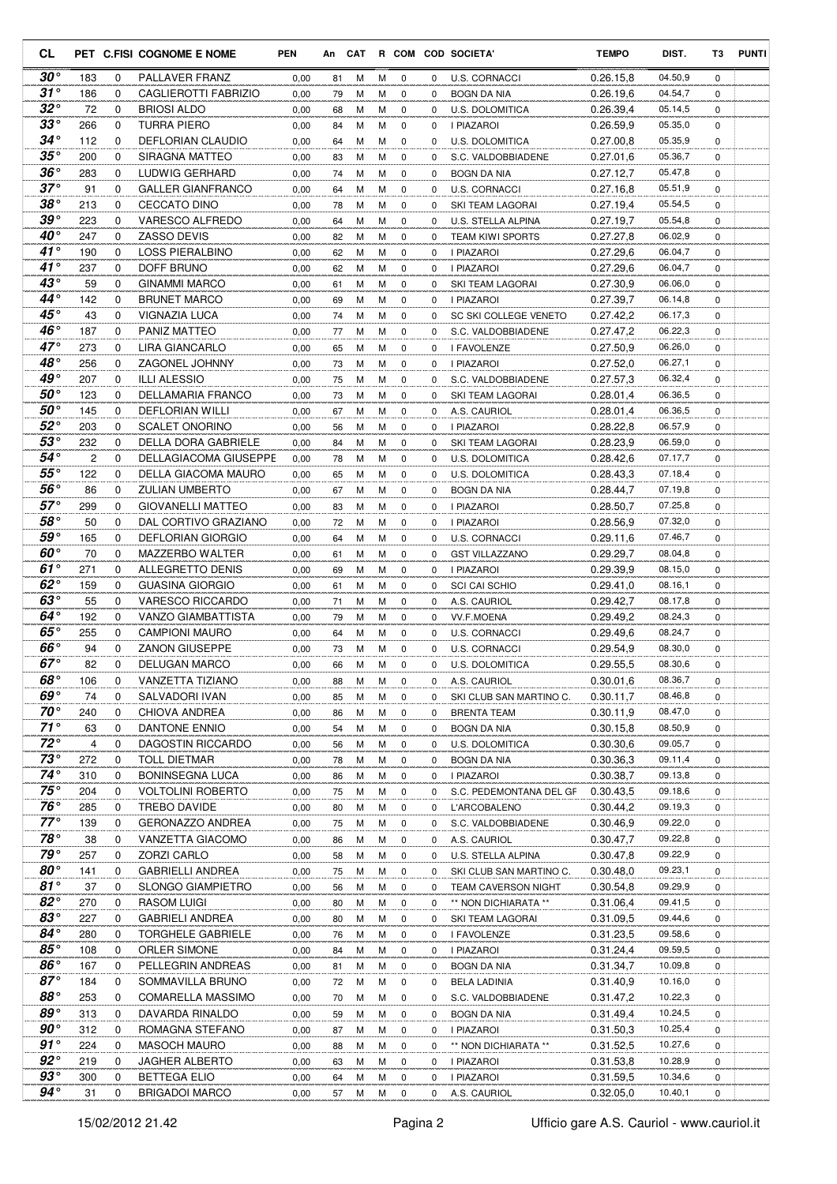| <b>CL</b>                    |            |             | PET C.FISI COGNOME E NOME                   | <b>PEN</b>   |          | An CAT |        |             |          | R COM COD SOCIETA'                 | <b>TEMPO</b>           | DIST.              | T3          | <b>PUNTI</b> |
|------------------------------|------------|-------------|---------------------------------------------|--------------|----------|--------|--------|-------------|----------|------------------------------------|------------------------|--------------------|-------------|--------------|
| $30^{\circ}$                 | 183        | 0           | PALLAVER FRANZ                              | 0,00         | 81       | м      | М      | 0           | 0        | <b>U.S. CORNACCI</b>               | 0.26.15.8              | 04.50,9            | 0           |              |
| $31^\circ$                   | 186        | 0           | CAGLIEROTTI FABRIZIO                        | 0,00         | 79       | М      | м      | 0           | 0        | <b>BOGN DA NIA</b>                 | 0.26.19,6              | 04.54,7            | 0           |              |
| $32^{\circ}$                 | 72         | 0           | <b>BRIOSI ALDO</b>                          | 0,00         | 68       | М      | M      | 0           | 0        | U.S. DOLOMITICA                    | 0.26.39.4              | 05.14,5            | 0           |              |
| $33^{\circ}$                 | 266        | 0           | TURRA PIERO                                 | 0,00         | 84       | М      | м      | 0           | 0        | I PIAZAROI                         | 0.26.59,9              | 05.35,0            | 0           |              |
| $34^{\circ}$                 | 112        | 0           | DEFLORIAN CLAUDIO                           | 0,00         | 64       | M      | M      | $\mathbf 0$ | 0        | U.S. DOLOMITICA                    | 0.27.00,8              | 05.35,9            | 0           |              |
| $35^{\circ}$                 | 200        | 0           | SIRAGNA MATTEO                              | 0,00         | 83       | М      | M      | $\mathbf 0$ | 0        | S.C. VALDOBBIADENE                 | 0.27.01,6              | 05.36,7            | 0           |              |
| $36^{\circ}$                 | 283        | 0           | LUDWIG GERHARD                              | 0,00         | 74       | М      | M      | $\mathbf 0$ | 0        | <b>BOGN DA NIA</b>                 | 0.27.12,7              | 05.47,8            | 0           |              |
| $37^\circ$                   | 91         | 0           | <b>GALLER GIANFRANCO</b>                    | 0,00         | 64       | М      | м      | 0           | 0        | U.S. CORNACCI                      | 0.27.16,8              | 05.51,9            | 0           |              |
| 38°                          | 213        | 0           | <b>CECCATO DINO</b>                         | 0,00         | 78       | M      | м      | 0           | 0        | SKI TEAM LAGORAI                   | 0.27.19,4              | 05.54,5            | 0           |              |
| $39^{\circ}$                 | 223        | 0           | VARESCO ALFREDO                             | 0,00         | 64       | M      | М      | 0           | 0        | U.S. STELLA ALPINA                 | 0.27.19,7              | 05.54,8            | $\mathbf 0$ |              |
| 40°                          | 247        | 0           | <b>ZASSO DEVIS</b>                          | 0,00         | 82       | М      | M      | 0           | 0        | TEAM KIWI SPORTS                   | 0.27.27,8              | 06.02,9            | 0           |              |
| $41^{\circ}$                 | 190        | 0           | LOSS PIERALBINO                             | 0,00         | 62       | М      | м      | $\mathbf 0$ | 0        | I PIAZAROI                         | 0.27.29,6              | 06.04,7            | 0           |              |
| 41 $^{\circ}$                | 237        | 0           | DOFF BRUNO                                  | 0,00         | 62       | М      | м      | 0           | 0        | I PIAZAROI                         | 0.27.29,6              | 06.04,7            | 0           |              |
| $43^{\circ}$                 | 59         | 0           | <b>GINAMMI MARCO</b>                        | 0,00         | 61       | М      | M      | $\mathbf 0$ | 0        | SKI TEAM LAGORAI                   | 0.27.30,9              | 06.06,0            | 0           |              |
| 44°                          | 142        | 0           | <b>BRUNET MARCO</b>                         | 0,00         | 69       | М      | м      | 0           | 0        | I PIAZAROI                         | 0.27.39,7              | 06.14,8            | 0           |              |
| $45^{\circ}$                 | 43         | $\mathbf 0$ | <b>VIGNAZIA LUCA</b>                        | 0,00         | 74       | м      | M      | 0           | 0        | SC SKI COLLEGE VENETO              | 0.27.42,2              | 06.17,3            | 0           |              |
| $46^{\circ}$                 | 187        | 0           | PANIZ MATTEO                                | 0,00         | 77       | М      | м      | 0           | 0        | S.C. VALDOBBIADENE                 | 0.27.47,2              | 06.22,3            | 0           |              |
| $47^{\circ}$                 | 273        | 0           | LIRA GIANCARLO                              | 0,00         | 65       | М      | М      | $\mathbf 0$ | 0        | I FAVOLENZE                        | 0.27.50,9              | 06.26,0            | 0           |              |
| 48°                          | 256        | 0           | ZAGONEL JOHNNY                              | 0,00         | 73       | M      | М      | 0           | 0        | <b>I PIAZAROI</b>                  | 0.27.52,0              | 06.27,1            | 0           |              |
| 49°                          | 207        | 0           | <b>ILLI ALESSIO</b>                         | 0,00         | 75       | M      | M      | 0           | 0        | S.C. VALDOBBIADENE                 | 0.27.57,3              | 06.32,4            | 0           |              |
| $50^{\circ}$                 | 123        | 0           | DELLAMARIA FRANCO                           | 0,00         | 73       | М      | м      | 0           | 0        | SKI TEAM LAGORAI                   | 0.28.01.4              | 06.36,5            | 0           |              |
| $50^{\circ}$                 | 145        | 0           | <b>DEFLORIAN WILLI</b>                      | 0,00         | 67       | М      | M      | 0           | 0        | A.S. CAURIOL                       | 0.28.01,4              | 06.36,5            | 0           |              |
| $52^{\circ}$                 | 203        | 0           | <b>SCALET ONORINO</b>                       | 0,00         | 56       | М      | м      | 0           | 0        | I PIAZAROI                         | 0.28.22,8              | 06.57,9            | 0           |              |
| $53^{\circ}$                 | 232        | 0           | DELLA DORA GABRIELE                         | 0,00         | 84       | М      | M      | $\mathbf 0$ | 0        | SKI TEAM LAGORAI                   | 0.28.23,9              | 06.59,0            | 0           |              |
| $54^{\circ}$                 | 2          | 0           | DELLAGIACOMA GIUSEPPE                       | 0,00         | 78       | M      | м      | 0           | 0        | U.S. DOLOMITICA                    | 0.28.42,6              | 07.17,7            | 0           |              |
| $55^{\circ}$                 | 122        | 0           | DELLA GIACOMA MAURO                         | 0,00         | 65       | M      | M      | 0           | 0        | <b>U.S. DOLOMITICA</b>             | 0.28.43,3              | 07.18,4            | 0           |              |
| 56°                          | 86         | 0           | <b>ZULIAN UMBERTO</b>                       | 0,00         | 67       | M      | M      | 0           | 0        | <b>BOGN DA NIA</b>                 | 0.28.44,7              | 07.19.8            | 0           |              |
| 57°                          | 299        | 0           | <b>GIOVANELLI MATTEO</b>                    | 0,00         | 83       | M      | M      | 0           | 0        | I PIAZAROI                         | 0.28.50,7              | 07.25,8            | 0           |              |
| $58^{\circ}$                 | 50         | 0           | DAL CORTIVO GRAZIANO                        | 0,00         | 72       | М      | м      | 0           | 0        | <b>I PIAZAROI</b>                  | 0.28.56,9              | 07.32,0            | 0           |              |
| 59°                          | 165        | 0           | <b>DEFLORIAN GIORGIO</b>                    | 0,00         | 64       | M      | M      | 0           | 0        | U.S. CORNACCI                      | 0.29.11,6              | 07.46,7            | 0           |              |
| $60^{\circ}$                 | 70         | 0           | MAZZERBO WALTER                             | 0,00         | 61       | М      | M      | $\mathbf 0$ | 0        | <b>GST VILLAZZANO</b>              | 0.29.29,7              | 08.04,8            | 0           |              |
| $61^\circ$                   | 271        | 0           | <b>ALLEGRETTO DENIS</b>                     | 0,00         | 69       | М      | м      | 0           | 0        | I PIAZAROI                         | 0.29.39,9              | 08.15,0            | 0           |              |
| $62^{\circ}$                 | 159        | $\mathbf 0$ | <b>GUASINA GIORGIO</b>                      | 0,00         | 61       | м      | м      | 0           | 0        | <b>SCI CAI SCHIO</b>               | 0.29.41,0              | 08.16,1            | 0           |              |
| 63°                          | 55         | 0           | <b>VARESCO RICCARDO</b>                     | 0,00         | 71       | M      | м      | 0           | 0        | A.S. CAURIOL                       | 0.29.42,7              | 08.17,8            | 0           |              |
| 64°                          | 192        | 0           | VANZO GIAMBATTISTA                          | 0,00         | 79       | М      | М      | 0           | 0        | <b>VV.F.MOENA</b>                  | 0.29.49,2              | 08.24,3            | 0           |              |
| 65°                          | 255        | 0           | <b>CAMPIONI MAURO</b>                       | 0,00         | 64       | М      | М      | 0           | $\Omega$ | U.S. CORNACCI                      | 0.29.49,6              | 08.24,7            | 0           |              |
| 66°                          | 94         | 0           | <b>ZANON GIUSEPPE</b>                       | 0,00         | 73       | M      | M      | $\mathbf 0$ | 0        | <b>U.S. CORNACCI</b>               | 0.29.54.9              | 08.30,0            | 0           |              |
| $67^\circ$                   | 82         | $\Omega$    | DELUGAN MARCO                               | 0,00         | 66       | M      | M      | $\Omega$    | $\Omega$ | U.S. DOLOMITICA                    | 0.29.55,5              | 08.30,6            | $\Omega$    |              |
| 68°                          | 106        | 0           | VANZETTA TIZIANO                            | 0,00         | 88       | M      | M      | 0           | 0        | A.S. CAURIOL                       | 0.30.01,6              | 08.36,7            | 0           |              |
| $69^\circ$                   | 74         | 0           | SALVADORI IVAN                              | 0,00         | 85       | м      | М      | 0           | 0        | SKI CLUB SAN MARTINO C.            | 0.30.11,7              | 08.46,8            | 0           |              |
| $70^{\circ}$                 | 240        | 0           | CHIOVA ANDREA                               | 0,00         | 86       | M      | M      | 0           | 0        | <b>BRENTA TEAM</b>                 | 0.30.11,9              | 08.47,0            | 0           |              |
| $71^\circ$                   | 63         | 0           | DANTONE ENNIO                               | 0,00         | 54       | M      | M      | 0           | 0        | <b>BOGN DA NIA</b>                 | 0.30.15,8              | 08.50,9            | 0           |              |
| $72^{\circ}$                 | 4          | 0           | DAGOSTIN RICCARDO                           | 0,00         | 56       | M      | М      | 0           | 0        | U.S. DOLOMITICA                    | 0.30.30,6              | 09.05,7            | $\mathbf 0$ |              |
| $73^{\circ}$                 | 272        | 0           | <b>TOLL DIETMAR</b>                         | 0,00         | 78       | M      | M      | 0           | 0        | BOGN DA NIA                        | 0.30.36,3              | 09.11,4            | 0           |              |
| $74^{\circ}$<br>$75^{\circ}$ | 310        | 0           | BONINSEGNA LUCA                             | 0,00         | 86       | M      | м      | 0           | 0        | I PIAZAROI                         | 0.30.38,7              | 09.13,8            | 0           |              |
| $76^{\circ}$                 | 204        | 0           | <b>VOLTOLINI ROBERTO</b>                    | 0,00         | 75       | M      | M      | 0           | 0        | S.C. PEDEMONTANA DEL GF            | 0.30.43,5              | 09.18,6            | 0           |              |
| $77^\circ$                   | 285        | 0<br>0      | TREBO DAVIDE                                | 0,00         | 80       | M      | M      | 0           | 0        | L'ARCOBALENO                       | 0.30.44,2              | 09.19,3<br>09.22,0 | 0           |              |
| $78^\circ$                   | 139<br>38  | 0           | <b>GERONAZZO ANDREA</b><br>VANZETTA GIACOMO | 0,00         | 75       | M      | M      | 0<br>0      | 0        | S.C. VALDOBBIADENE                 | 0.30.46,9              | 09.22,8            | 0<br>0      |              |
| $79^{\circ}$                 | 257        | 0           | ZORZI CARLO                                 | 0,00<br>0,00 | 86<br>58 | M<br>M | M<br>M | 0           | 0<br>0   | A.S. CAURIOL<br>U.S. STELLA ALPINA | 0.30.47,7<br>0.30.47,8 | 09.22,9            | 0           |              |
| 80°                          | 141        | 0           | <b>GABRIELLI ANDREA</b>                     | 0,00         |          | М      | M      | 0           | 0        | SKI CLUB SAN MARTINO C.            | 0.30.48,0              | 09.23,1            | 0           |              |
| $81^\circ$                   | 37         | 0           | <b>SLONGO GIAMPIETRO</b>                    | 0,00         | 75       | М      | М      | 0           | 0        | TEAM CAVERSON NIGHT                | 0.30.54,8              | 09.29,9            | 0           |              |
| 82 $^{\circ}$                | 270        | 0           | <b>RASOM LUIGI</b>                          | 0,00         | 56       |        | М      | 0           | 0        | ** NON DICHIARATA **               | 0.31.06,4              | 09.41,5            | 0           |              |
| $83^{\circ}$                 | 227        | 0           | <b>GABRIELI ANDREA</b>                      | 0,00         | 80<br>80 | м<br>M | M      | 0           | 0        | SKI TEAM LAGORAI                   | 0.31.09,5              | 09.44,6            | 0           |              |
| $84^{\circ}$                 | 280        | 0           | <b>TORGHELE GABRIELE</b>                    | 0,00         | 76       | M      | M      | 0           | 0        | I FAVOLENZE                        | 0.31.23,5              | 09.58,6            | 0           |              |
| $85^{\circ}$                 | 108        | 0           | ORLER SIMONE                                | 0,00         | 84       | M      | M      | 0           | 0        | I PIAZAROI                         | 0.31.24,4              | 09.59,5            | 0           |              |
| $86^{\circ}$                 | 167        | 0           | PELLEGRIN ANDREAS                           | 0,00         | 81       | M      | м      | 0           | 0        | BOGN DA NIA                        | 0.31.34,7              | 10.09,8            | 0           |              |
| $87^\circ$                   | 184        | 0           | SOMMAVILLA BRUNO                            | 0,00         | 72       | M      | M      | 0           | 0        | <b>BELA LADINIA</b>                | 0.31.40,9              | 10.16,0            | 0           |              |
| $88^{\circ}$                 | 253        | 0           | COMARELLA MASSIMO                           | 0,00         | 70       | м      | M      | 0           | 0        | S.C. VALDOBBIADENE                 | 0.31.47,2              | 10.22,3            | 0           |              |
| 89°                          | 313        | 0           | DAVARDA RINALDO                             | 0,00         | 59       | М      | М      | 0           | 0        | <b>BOGN DA NIA</b>                 | 0.31.49,4              | 10.24,5            | 0           |              |
| $90^{\circ}$                 | 312        | 0           | ROMAGNA STEFANO                             | 0,00         | 87       | М      | М      | 0           | 0        | I PIAZAROI                         | 0.31.50,3              | 10.25,4            | 0           |              |
| $91^{\circ}$                 | 224        | 0           | <b>MASOCH MAURO</b>                         | 0,00         | 88       | M      | M      | 0           | 0        | ** NON DICHIARATA **               | 0.31.52,5              | 10.27,6            | 0           |              |
|                              |            |             |                                             |              |          |        |        |             |          |                                    |                        |                    |             |              |
|                              |            |             |                                             |              |          |        |        |             |          |                                    |                        |                    |             |              |
| $92^{\circ}$<br>$93^{\circ}$ | 219<br>300 | 0<br>0      | JAGHER ALBERTO<br><b>BETTEGA ELIO</b>       | 0,00<br>0,00 | 63<br>64 | M<br>M | M<br>M | 0<br>0      | 0<br>0   | I PIAZAROI<br>I PIAZAROI           | 0.31.53,8<br>0.31.59,5 | 10.28,9<br>10.34,6 | 0<br>0      |              |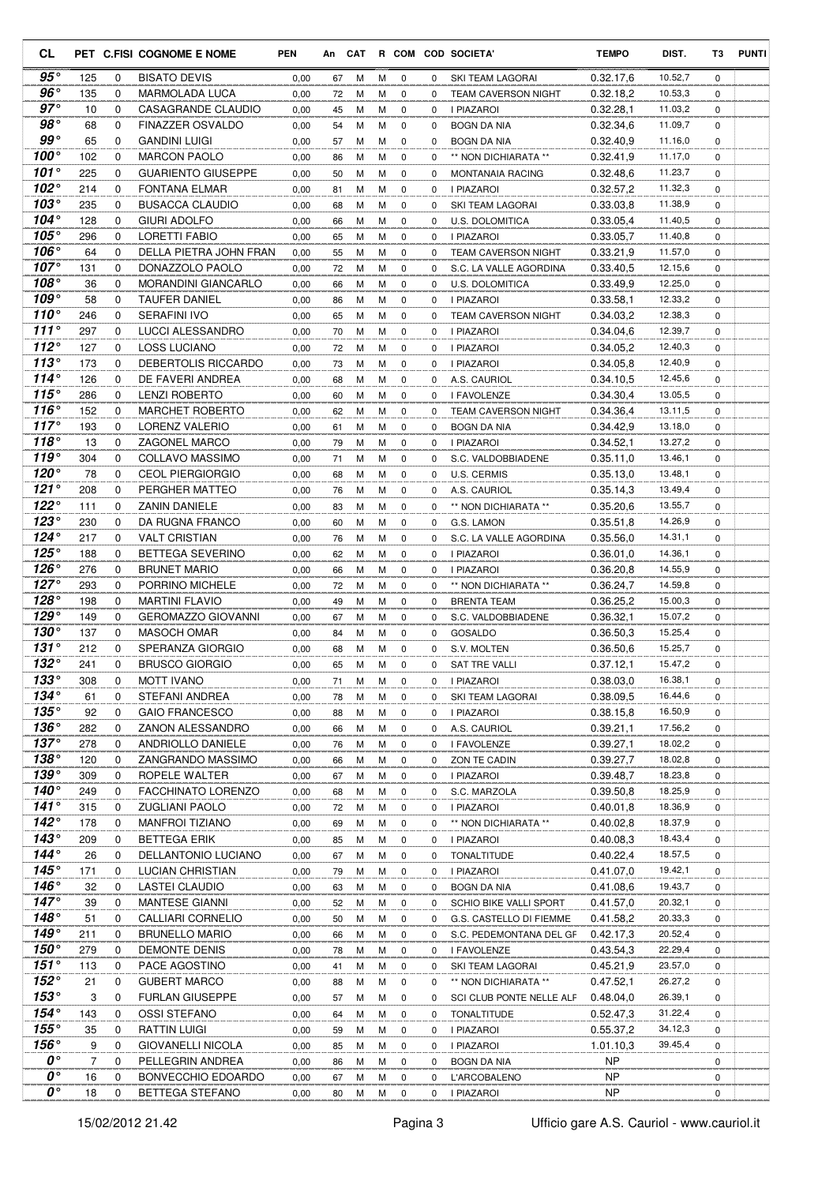| CL                         |           |             | PET C.FISI COGNOME E NOME                 | PEN          |          | An CAT |        |                  |          | R COM COD SOCIETA'                        | <b>TEMPO</b>           | DIST.              | T3          | <b>PUNTI</b> |
|----------------------------|-----------|-------------|-------------------------------------------|--------------|----------|--------|--------|------------------|----------|-------------------------------------------|------------------------|--------------------|-------------|--------------|
| $95^{\circ}$               | 125       | 0           | <b>BISATO DEVIS</b>                       | 0,00         | 67       | М      | М      | 0                | 0        | SKI TEAM LAGORAI                          | 0.32.17,6              | 10.52,7            | $\mathbf 0$ |              |
| $96^{\circ}$               | 135       | 0           | MARMOLADA LUCA                            | 0,00         | 72       | М      | м      | 0                | 0        | <b>TEAM CAVERSON NIGHT</b>                | 0.32.18.2              | 10.53,3            | 0           |              |
| $97^\circ$                 | 10        | 0           | CASAGRANDE CLAUDIO                        | 0,00         | 45       | М      | M      | $\mathbf 0$      | 0        | I PIAZAROI                                | 0.32.28,1              | 11.03,2            | $\mathbf 0$ |              |
| $98^{\circ}$               | 68        | 0           | <b>FINAZZER OSVALDO</b>                   | 0,00         | 54       | М      | М      | 0                | 0        | BOGN DA NIA                               | 0.32.34,6              | 11.09,7            | 0           |              |
| $99^{\circ}$               | 65        | 0           | <b>GANDINI LUIGI</b>                      | 0,00         | 57       | M      | M      | 0                | 0        | BOGN DA NIA                               | 0.32.40,9              | 11.16,0            | 0           |              |
| 100 $^{\circ}$             | 102       | 0           | <b>MARCON PAOLO</b>                       | 0,00         | 86       | М      | M      | 0                | $\Omega$ | ** NON DICHIARATA **                      | 0.32.41,9              | 11.17,0            | 0           |              |
| 101 $^{\circ}$             | 225       | $\mathbf 0$ | <b>GUARIENTO GIUSEPPE</b>                 | 0,00         | 50       | М      | M      | $\mathbf 0$      | 0        | <b>MONTANAIA RACING</b>                   | 0.32.48,6              | 11.23,7            | 0           |              |
| $102^\circ$                | 214       | $\mathbf 0$ | FONTANA ELMAR                             | 0,00         | 81       | М      | M      | 0                | 0        | <b>I PIAZAROI</b>                         | 0.32.57,2              | 11.32,3            | 0           |              |
| 103°                       | 235       | $\mathbf 0$ | <b>BUSACCA CLAUDIO</b>                    | 0,00         | 68       | м      | М      | 0                | 0        | SKI TEAM LAGORAI                          | 0.33.03,8              | 11.38,9            | $\mathbf 0$ |              |
| 104 $^{\circ}$<br>105°     | 128       | 0           | GIURI ADOLFO                              | 0,00         | 66       | м      | М      | 0                | 0        | <b>U.S. DOLOMITICA</b>                    | 0.33.05,4              | 11.40,5            | 0           |              |
| $106^\circ$                | 296       | 0           | LORETTI FABIO                             | 0,00         | 65       | м      | м      | 0                | $\Omega$ | I PIAZAROI                                | 0.33.05,7              | 11.40,8<br>11.57,0 | 0           |              |
| $107^\circ$                | 64<br>131 | 0<br>0      | DELLA PIETRA JOHN FRAN<br>DONAZZOLO PAOLO | 0,00         | 55       | М<br>М | M<br>M | $\mathbf 0$<br>0 | 0<br>0   | <b>TEAM CAVERSON NIGHT</b>                | 0.33.21,9              | 12.15,6            | 0<br>0      |              |
| $108^\circ$                | 36        | $\mathbf 0$ | <b>MORANDINI GIANCARLO</b>                | 0,00<br>0,00 | 72<br>66 | М      | M      | $\mathbf 0$      | 0        | S.C. LA VALLE AGORDINA<br>U.S. DOLOMITICA | 0.33.40,5<br>0.33.49,9 | 12.25,0            | 0           |              |
| 109°                       | 58        | $\mathbf 0$ | <b>TAUFER DANIEL</b>                      | 0,00         | 86       | м      | M      | 0                | 0        | I PIAZAROI                                | 0.33.58,1              | 12.33,2            | 0           |              |
| 110 $^{\circ}$             | 246       | $\mathbf 0$ | <b>SERAFINI IVO</b>                       | 0,00         | 65       | М      | M      | 0                | 0        | <b>TEAM CAVERSON NIGHT</b>                | 0.34.03.2              | 12.38,3            | $\mathbf 0$ |              |
| 111 $^{\circ}$             | 297       | 0           | LUCCI ALESSANDRO                          | 0,00         | 70       | М      | M      | 0                | 0        | I PIAZAROI                                | 0.34.04,6              | 12.39,7            | 0           |              |
| 112 $^{\circ}$             | 127       | 0           | <b>LOSS LUCIANO</b>                       | 0,00         | 72       | M      | М      | 0                | 0        | <b>I PIAZAROI</b>                         | 0.34.05.2              | 12.40,3            | $\mathbf 0$ |              |
| 113 $^{\circ}$             | 173       | 0           | DEBERTOLIS RICCARDO                       | 0,00         | 73       | M      | М      | 0                | 0        | I PIAZAROI                                | 0.34.05.8              | 12.40,9            | 0           |              |
| $114^\circ$                | 126       | 0           | DE FAVERI ANDREA                          | 0,00         | 68       | M      | M      | $\mathbf 0$      | 0        | A.S. CAURIOL                              | 0.34.10.5              | 12.45,6            | $\mathbf 0$ |              |
| 115°                       | 286       | 0           | <b>LENZI ROBERTO</b>                      | 0,00         | 60       | М      | М      | 0                | 0        | I FAVOLENZE                               | 0.34.30,4              | 13.05,5            | 0           |              |
| $116^\circ$                | 152       | 0           | <b>MARCHET ROBERTO</b>                    | 0,00         | 62       | M      | M      | 0                | 0        | <b>TEAM CAVERSON NIGHT</b>                | 0.34.36,4              | 13.11,5            | 0           |              |
| $117^\circ$                | 193       | 0           | <b>LORENZ VALERIO</b>                     | 0,00         | 61       | М      | М      | 0                | 0        | <b>BOGN DA NIA</b>                        | 0.34.42,9              | 13.18,0            | 0           |              |
| 118 $^{\circ}$             | 13        | $\mathbf 0$ | ZAGONEL MARCO                             | 0,00         | 79       | M      | M      | 0                | 0        | I PIAZAROI                                | 0.34.52,1              | 13.27,2            | 0           |              |
| 119°                       | 304       | 0           | COLLAVO MASSIMO                           | 0,00         | 71       | М      | M      | 0                | 0        | S.C. VALDOBBIADENE                        | 0.35.11,0              | 13.46,1            | 0           |              |
| 120°                       | 78        | $\mathbf 0$ | <b>CEOL PIERGIORGIO</b>                   | 0,00         | 68       | M      | M      | 0                | 0        | U.S. CERMIS                               | 0.35.13,0              | 13.48,1            | $\mathbf 0$ |              |
| 121 $^{\circ}$             | 208       | 0           | PERGHER MATTEO                            | 0,00         | 76       | М      | M      | 0                | 0        | A.S. CAURIOL                              | 0.35.14,3              | 13.49,4            | 0           |              |
| 122 $^{\circ}$             | 111       | 0           | <b>ZANIN DANIELE</b>                      | 0,00         | 83       | М      | M      | $\mathbf 0$      | 0        | ** NON DICHIARATA **                      | 0.35.20,6              | 13.55,7            | 0           |              |
| $123^\circ$                | 230       | 0           | DA RUGNA FRANCO                           | 0,00         | 60       | М      | М      | 0                | 0        | G.S. LAMON                                | 0.35.51,8              | 14.26,9            | 0           |              |
| $124^\circ$                | 217       | 0           | <b>VALT CRISTIAN</b>                      | 0,00         | 76       | М      | М      | 0                | 0        | S.C. LA VALLE AGORDINA                    | 0.35.56,0              | 14.31,1            | 0           |              |
| $125^\circ$                | 188       | 0           | BETTEGA SEVERINO                          | 0,00         | 62       | М      | M      | 0                | 0        | I PIAZAROI                                | 0.36.01,0              | 14.36,1            | 0           |              |
| $126^\circ$                | 276       | $\mathbf 0$ | <b>BRUNET MARIO</b>                       | 0,00         | 66       | м      | м      | 0                | 0        | I PIAZAROI                                | 0.36.20,8              | 14.55,9            | 0           |              |
| $127^\circ$                | 293       | $\mathbf 0$ | PORRINO MICHELE                           | 0,00         | 72       | м      | M      | 0                | 0        | ** NON DICHIARATA **                      | 0.36.24,7              | 14.59,8            | 0           |              |
| 128°                       | 198       | 0           | <b>MARTINI FLAVIO</b>                     | 0,00         | 49       | м      | М      | 0                | 0        | <b>BRENTA TEAM</b>                        | 0.36.25,2              | 15.00,3            | 0           |              |
| $129^\circ$                | 149       | 0           | <b>GEROMAZZO GIOVANNI</b>                 | 0,00         | 67       | М      | М      | 0                | 0        | S.C. VALDOBBIADENE                        | 0.36.32,1              | 15.07,2            | $\mathbf 0$ |              |
| 130°                       | 137       | 0           | <b>MASOCH OMAR</b>                        | 0,00         | 84       | м      | м      | 0                | $\Omega$ | GOSALDO                                   | 0.36.50,3              | 15.25,4            | 0           |              |
| 131°<br>$132^\circ$        | 212       | 0           | SPERANZA GIORGIO                          | 0,00         | 68       | M      | M      | $\mathbf 0$      | 0        | S.V. MOLTEN                               | 0.36.50.6              | 15.25,7            | 0           |              |
|                            | 241       | $\Omega$    | <b>BRUSCO GIORGIO</b>                     | 0,00         | 65       | M      | M      | $\Omega$         | $\Omega$ | SAT TRE VALLI                             | 0.37.12,1              | 15.47,2            | $\Omega$    |              |
| $133^\circ$<br>$134^\circ$ | 308       | 0           | <b>MOTT IVANO</b>                         | 0,00         | 71       | M      | M      | 0                | 0        | <b>I PIAZAROI</b>                         | 0.38.03,0              | 16.38,1            | 0           |              |
| $135^\circ$                | 61<br>92  | 0<br>0      | STEFANI ANDREA<br><b>GAIO FRANCESCO</b>   | 0,00         | 78       | м      | М      | 0                | 0<br>0   | SKI TEAM LAGORAI                          | 0.38.09,5              | 16.44,6<br>16.50,9 | 0           |              |
| $136^\circ$                | 282       | 0           | ZANON ALESSANDRO                          | 0,00<br>0,00 | 88       | м      | M<br>M | 0<br>0           | 0        | I PIAZAROI                                | 0.38.15,8<br>0.39.21,1 | 17.56,2            | 0<br>0      |              |
| $137^\circ$                | 278       | 0           | ANDRIOLLO DANIELE                         | 0,00         | 66<br>76 | м<br>м | М      | 0                | 0        | A.S. CAURIOL<br>I FAVOLENZE               | 0.39.27,1              | 18.02,2            | $\mathbf 0$ |              |
| $138^\circ$                | 120       | 0           | ZANGRANDO MASSIMO                         | 0,00         | 66       | M      | М      | 0                | 0        | ZON TE CADIN                              | 0.39.27,7              | 18.02,8            | 0           |              |
| $139^\circ$                | 309       | 0           | ROPELE WALTER                             | 0,00         | 67       | М      | М      | 0                | 0        | I PIAZAROI                                | 0.39.48,7              | 18.23,8            | 0           |              |
| $140^\circ$                | 249       | 0           | FACCHINATO LORENZO                        | 0,00         | 68       | M      | M      | 0                | 0        | S.C. MARZOLA                              | 0.39.50.8              | 18.25,9            | 0           |              |
| $141^\circ$                | 315       | 0           | <b>ZUGLIANI PAOLO</b>                     | 0,00         | 72       | M      | M      | 0                | 0        | I PIAZAROI                                | 0.40.01,8              | 18.36,9            | 0           |              |
| $142^\circ$                | 178       | 0           | <b>MANFROI TIZIANO</b>                    | 0,00         | 69       | M      | M      | 0                | 0        | ** NON DICHIARATA **                      | 0.40.02,8              | 18.37,9            | 0           |              |
| $143^\circ$                | 209       | 0           | BETTEGA ERIK                              | 0,00         | 85       | M      | M      | 0                | 0        | I PIAZAROI                                | 0.40.08,3              | 18.43,4            | 0           |              |
| $144^\circ$                | 26        | 0           | DELLANTONIO LUCIANO                       | 0,00         | 67       | M      | M      | 0                | 0        | <b>TONALTITUDE</b>                        | 0.40.22,4              | 18.57,5            | 0           |              |
| 145°                       | 171       | 0           | LUCIAN CHRISTIAN                          | 0,00         | 79       | M      | M      | 0                | 0        | I PIAZAROI                                | 0.41.07,0              | 19.42,1            | 0           |              |
| 146 $^{\circ}$             | 32        | 0           | LASTEI CLAUDIO                            | 0,00         | 63       | м      | М      | 0                | 0        | <b>BOGN DA NIA</b>                        | 0.41.08,6              | 19.43,7            | 0           |              |
| $147^\circ$                | 39        | 0           | MANTESE GIANNI                            | 0,00         | 52       | м      | М      | 0                | 0        | SCHIO BIKE VALLI SPORT                    | 0.41.57,0              | 20.32,1            | 0           |              |
| $148^\circ$                | 51        | 0           | CALLIARI CORNELIO                         | 0,00         | 50       | м      | М      | 0                | 0        | G.S. CASTELLO DI FIEMME                   | 0.41.58,2              | 20.33,3            | 0           |              |
| $149^\circ$                | 211       | 0           | <b>BRUNELLO MARIO</b>                     | 0,00         | 66       | M      | M      | 0                | 0        | S.C. PEDEMONTANA DEL GF                   | 0.42.17,3              | 20.52,4            | 0           |              |
| $150^\circ$                | 279       | 0           | DEMONTE DENIS                             | 0,00         | 78       | M      | M      | 0                | 0        | I FAVOLENZE                               | 0.43.54,3              | 22.29,4            | 0           |              |
| $151^\circ$                | 113       | 0           | PACE AGOSTINO                             | 0,00         | 41       | м      | М      | 0                | 0        | SKI TEAM LAGORAI                          | 0.45.21,9              | 23.57,0            | 0           |              |
| $152^\circ$                | 21        | 0           | <b>GUBERT MARCO</b>                       | 0,00         | 88       | M      | M      | 0                | 0        | ** NON DICHIARATA **                      | 0.47.52,1              | 26.27,2            | 0           |              |
| $153^\circ$                | 3         | 0           | <b>FURLAN GIUSEPPE</b>                    | 0,00         | 57       | м      | M      | 0                | 0        | SCI CLUB PONTE NELLE ALF                  | 0.48.04,0              | 26.39,1            | 0           |              |
| 154 $^{\circ}$             | 143       | 0           | OSSI STEFANO                              | 0,00         | 64       | М      | М      | 0                | 0        | <b>TONALTITUDE</b>                        | 0.52.47,3              | 31.22,4            | 0           |              |
| 155 $^{\circ}$             | 35        | 0           | RATTIN LUIGI                              | 0,00         | 59       | м      | М      | 0                | 0        | I PIAZAROI                                | 0.55.37,2              | 34.12,3            | 0           |              |
| $156^\circ$<br>0°          | 9         | 0           | <b>GIOVANELLI NICOLA</b>                  | 0,00         | 85       | М      | M      | 0                | 0        | I PIAZAROI                                | 1.01.10,3              | 39.45,4            | 0           |              |
| 0°                         | 7         | 0           | PELLEGRIN ANDREA                          | 0,00         | 86       | M      | M      | 0                | 0        | BOGN DA NIA                               | NP                     |                    | 0           |              |
| $\boldsymbol{o} \circ$     | 16        | 0           | BONVECCHIO EDOARDO                        | 0,00         | 67       | M      | M      | 0                | 0        | L'ARCOBALENO                              | <b>NP</b>              |                    | 0           |              |
|                            | 18        | 0           | BETTEGA STEFANO                           | 0,00         | 80       | M      | M      | 0                | 0        | I PIAZAROI                                | <b>NP</b>              |                    | 0           |              |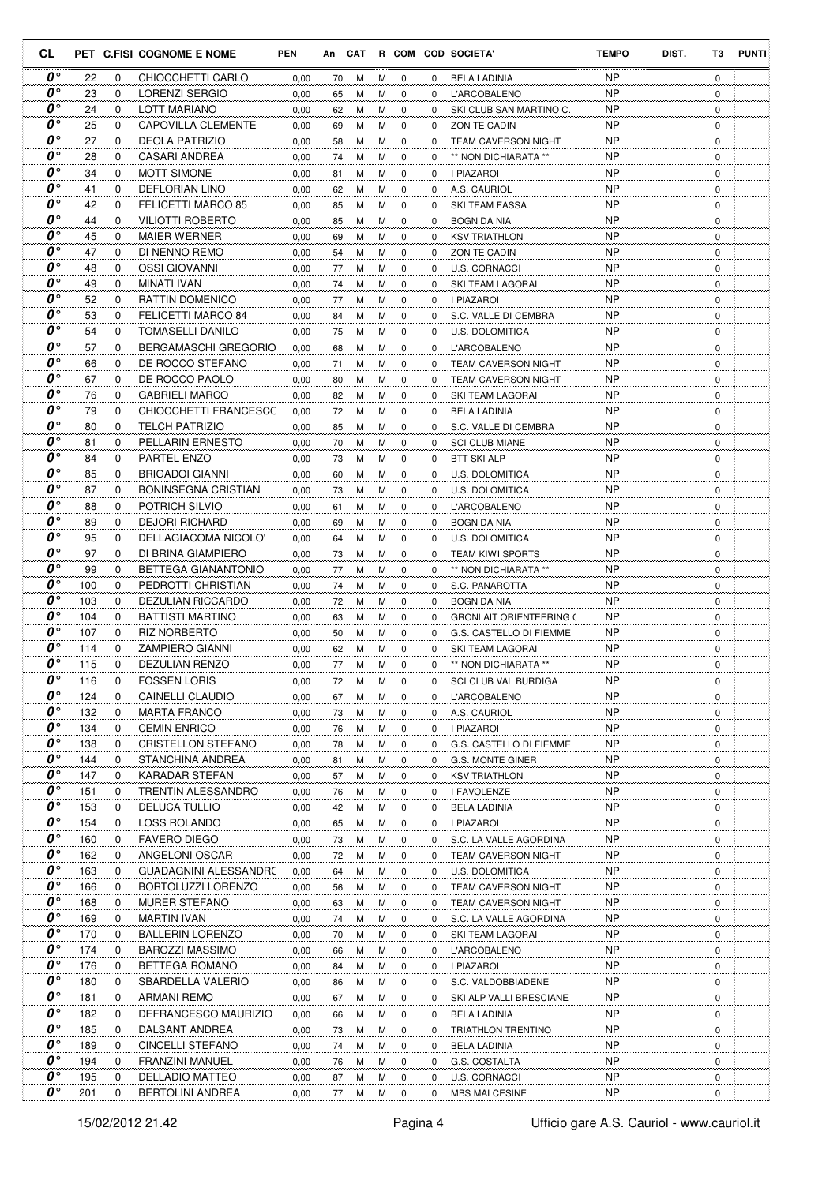| CL                                  |            |               | PET C.FISI COGNOME E NOME               | <b>PEN</b>   |          |        |        |                            |          | An CAT R COM COD SOCIETA'         | <b>TEMPO</b>           | DIST.<br>T3                | <b>PUNTI</b> |
|-------------------------------------|------------|---------------|-----------------------------------------|--------------|----------|--------|--------|----------------------------|----------|-----------------------------------|------------------------|----------------------------|--------------|
| 0°                                  | 22         | 0             | CHIOCCHETTI CARLO                       | 0,00         | 70       | М      | м      | 0                          | 0        | <b>BELA LADINIA</b>               | <b>NP</b>              | $\mathbf 0$                |              |
| $0^{\circ}$                         | 23         | 0             | LORENZI SERGIO                          | 0,00         | 65       | М      | м      | 0                          | 0        | <b>L'ARCOBALENO</b>               | <b>NP</b>              | 0                          |              |
| $\boldsymbol{0}$                    | 24         | 0             | <b>LOTT MARIANO</b>                     | 0,00         | 62       | М      | М      | $\mathbf 0$                | 0        | SKI CLUB SAN MARTINO C.           | <b>NP</b>              | $\mathbf 0$                |              |
| O۰                                  | 25         | $\Omega$      | <b>CAPOVILLA CLEMENTE</b>               | 0,00         | 69       | M      | М      | $\mathbf 0$                | 0        | ZON TE CADIN                      | <b>NP</b>              | 0                          |              |
| $0^{\circ}$                         | 27         | 0             | <b>DEOLA PATRIZIO</b>                   | 0,00         | 58       | M      | М      | $\mathbf 0$                | 0        | <b>TEAM CAVERSON NIGHT</b>        | <b>NP</b>              | $\mathbf 0$                |              |
| O۰                                  | 28         | 0             | CASARI ANDREA                           | 0,00         | 74       | M      | м      | $\mathbf 0$                | 0        | ** NON DICHIARATA **              | <b>NP</b>              | $\mathbf 0$                |              |
| $0^{\circ}$                         | 34         | 0             | <b>MOTT SIMONE</b>                      | 0,00         | 81       | M      | M      | $\mathbf 0$                | 0        | I PIAZAROI                        | <b>NP</b>              | $\mathbf 0$                |              |
| O۰                                  | 41         | 0             | <b>DEFLORIAN LINO</b>                   | 0,00         | 62       | M      | М      | 0                          | 0        | A.S. CAURIOL                      | <b>NP</b>              | 0                          |              |
| O۰<br>$\boldsymbol{0}$              | 42         | $\mathbf 0$   | FELICETTI MARCO 85                      | 0,00         | 85       | М      | М      | $\mathbf 0$                | 0        | SKI TEAM FASSA                    | <b>NP</b>              | $\mathbf 0$                |              |
| O۰                                  | 44         | 0             | <b>VILIOTTI ROBERTO</b>                 | 0,00         | 85       | М      | М      | $\mathbf 0$                | 0        | <b>BOGN DA NIA</b>                | <b>NP</b>              | $\mathbf 0$                |              |
| O۰                                  | 45<br>47   | 0<br>$\Omega$ | <b>MAIER WERNER</b>                     | 0,00         | 69       | М      | М      | 0                          | 0        | <b>KSV TRIATHLON</b>              | <b>NP</b><br><b>NP</b> | $\mathbf 0$<br>$\mathbf 0$ |              |
| O۰                                  | 48         | 0             | DI NENNO REMO<br>OSSI GIOVANNI          | 0,00         | 54<br>77 | M<br>M | М<br>м | $\mathbf 0$<br>$\mathbf 0$ | 0<br>0   | ZON TE CADIN                      | <b>NP</b>              | 0                          |              |
| o۰                                  | 49         | $\mathbf 0$   | <b>MINATI IVAN</b>                      | 0,00<br>0,00 | 74       | M      | M      | $\mathbf 0$                | 0        | U.S. CORNACCI<br>SKI TEAM LAGORAI | <b>NP</b>              | $\mathbf 0$                |              |
| $\boldsymbol{0}$                    | 52         | 0             | <b>RATTIN DOMENICO</b>                  | 0,00         | 77       | M      | М      | $\mathbf 0$                | 0        | I PIAZAROI                        | <b>NP</b>              | $\mathbf 0$                |              |
| O۰                                  | 53         | 0             | <b>FELICETTI MARCO 84</b>               | 0,00         | 84       | M      | M      | $\mathbf 0$                | 0        | S.C. VALLE DI CEMBRA              | <b>NP</b>              | $\mathbf 0$                |              |
| O۰                                  | 54         | $\mathbf 0$   | <b>TOMASELLI DANILO</b>                 | 0,00         | 75       | М      | м      | 0                          | 0        | <b>U.S. DOLOMITICA</b>            | <b>NP</b>              | $\mathbf 0$                |              |
| $\boldsymbol{0}$                    | 57         | 0             | <b>BERGAMASCHI GREGORIO</b>             | 0,00         | 68       | М      | М      | $\mathbf 0$                | 0        | L'ARCOBALENO                      | <b>NP</b>              | $\mathbf 0$                |              |
| O۰                                  | 66         | 0             | DE ROCCO STEFANO                        | 0,00         | 71       | M      | м      | 0                          | 0        | <b>TEAM CAVERSON NIGHT</b>        | <b>NP</b>              | $\mathbf 0$                |              |
| $\boldsymbol{0}$ $\circ$            | 67         | 0             | DE ROCCO PAOLO                          | 0,00         | 80       | М      | М      | $\mathbf 0$                | 0        | <b>TEAM CAVERSON NIGHT</b>        | <b>NP</b>              | $\mathbf 0$                |              |
| O۰                                  | 76         | 0             | <b>GABRIELI MARCO</b>                   | 0,00         | 82       | M      | M      | $\mathbf 0$                | 0        | SKI TEAM LAGORAI                  | <b>NP</b>              | 0                          |              |
| $\boldsymbol{0}$ °                  | 79         | $\Omega$      | CHIOCCHETTI FRANCESCC                   | 0,00         | 72       | M      | М      | 0                          | 0        | BELA LADINIA                      | <b>NP</b>              | $\mathbf 0$                |              |
| o۰                                  | 80         | 0             | <b>TELCH PATRIZIO</b>                   | 0,00         | 85       | M      | M      | $\mathbf 0$                | 0        | S.C. VALLE DI CEMBRA              | <b>NP</b>              | 0                          |              |
| $\boldsymbol{0}$                    | 81         | 0             | PELLARIN ERNESTO                        | 0,00         | 70       | M      | м      | $\mathbf 0$                | 0        | <b>SCI CLUB MIANE</b>             | <b>NP</b>              | $\mathbf 0$                |              |
| $\boldsymbol{0}$                    | 84         | 0             | <b>PARTEL ENZO</b>                      | 0,00         | 73       | M      | М      | 0                          | 0        | <b>BTT SKI ALP</b>                | <b>NP</b>              | $\mathbf 0$                |              |
| O۰                                  | 85         | 0             | <b>BRIGADOI GIANNI</b>                  | 0,00         | 60       | M      | М      | $\mathbf 0$                | 0        | <b>U.S. DOLOMITICA</b>            | <b>NP</b>              | $\mathbf 0$                |              |
| O۰                                  | 87         | 0             | <b>BONINSEGNA CRISTIAN</b>              | 0,00         | 73       | M      | М      | 0                          | 0        | U.S. DOLOMITICA                   | <b>NP</b>              | $\mathbf 0$                |              |
| O۰                                  | 88         | 0             | POTRICH SILVIO                          | 0,00         | 61       | М      | М      | $\mathbf 0$                | 0        | <b>L'ARCOBALENO</b>               | <b>NP</b>              | $\mathbf 0$                |              |
| $0^{\circ}$                         | 89         | $\Omega$      | <b>DEJORI RICHARD</b>                   | 0,00         | 69       | M      | м      | $\mathbf 0$                | 0        | BOGN DA NIA                       | <b>NP</b>              | 0                          |              |
| O۰                                  | 95         | 0             | DELLAGIACOMA NICOLO'                    | 0,00         | 64       | M      | М      | 0                          | 0        | U.S. DOLOMITICA                   | <b>NP</b>              | 0                          |              |
| o۰                                  | 97         | 0             | DI BRINA GIAMPIERO                      | 0,00         | 73       | M      | М      | $\mathbf 0$                | 0        | <b>TEAM KIWI SPORTS</b>           | <b>NP</b>              | 0                          |              |
| $\boldsymbol{0}$                    | 99         | 0             | BETTEGA GIANANTONIO                     | 0,00         | 77       | M      | м      | $\mathbf 0$                | $\Omega$ | ** NON DICHIARATA **              | <b>NP</b>              | $\mathbf 0$                |              |
| 0°                                  | 100        | 0             | PEDROTTI CHRISTIAN                      | 0,00         | 74       | M      | м      | 0                          | 0        | S.C. PANAROTTA                    | <b>NP</b>              | $\mathbf 0$                |              |
| $\boldsymbol{0}$ °                  | 103        | 0             | <b>DEZULIAN RICCARDO</b>                | 0,00         | 72       | М      | м      | 0                          | 0        | <b>BOGN DA NIA</b>                | <b>NP</b>              | $\mathbf 0$                |              |
| 0°                                  | 104        | 0             | <b>BATTISTI MARTINO</b>                 | 0,00         | 63       | М      | м      | $\mathbf 0$                | 0        | <b>GRONLAIT ORIENTEERING (</b>    | <b>NP</b>              | $\mathbf 0$                |              |
| $\boldsymbol{0}$ °                  | 107        | $\Omega$      | <b>RIZ NORBERTO</b>                     | 0,00         | 50       | М      | М      | 0                          | $\Omega$ | G.S. CASTELLO DI FIEMME           | <b>NP</b>              | $\mathbf 0$                |              |
| 0°<br>$\boldsymbol{0}$ °            | 114        | $\Omega$      | <b>ZAMPIERO GIANNI</b>                  | 0,00         | 62       | M      | М      | $\mathbf 0$                | 0        | SKI TEAM LAGORAI                  | <b>NP</b>              | $\mathbf 0$                |              |
| 0°                                  | 115        | 0             | DEZULIAN RENZO                          | 0.00         | 77       | M      | м      | $\Omega$                   | 0        | ** NON DICHIARATA **              | <b>NP</b>              | $\Omega$                   |              |
| 0°                                  | 116<br>124 | 0<br>0        | <b>FOSSEN LORIS</b>                     | 0,00         | 72       | м      | м      | 0                          | 0        | SCI CLUB VAL BURDIGA              | <b>NP</b><br><b>NP</b> | 0                          |              |
| 0°                                  | 132        | 0             | CAINELLI CLAUDIO<br><b>MARTA FRANCO</b> | 0,00<br>0,00 | 67       | М<br>М | м<br>М | 0<br>$\mathbf 0$           | 0<br>0   | L'ARCOBALENO<br>A.S. CAURIOL      | NP                     | 0<br>0                     |              |
| 0°                                  | 134        | 0             | <b>CEMIN ENRICO</b>                     | 0,00         | 73<br>76 | М      | М      | $\mathbf 0$                | 0        | I PIAZAROI                        | <b>NP</b>              | 0                          |              |
| 0°                                  | 138        | $\mathbf 0$   | CRISTELLON STEFANO                      | 0,00         | 78       | М      | М      | 0                          | 0        | G.S. CASTELLO DI FIEMME           | <b>NP</b>              | 0                          |              |
| $\boldsymbol{o} \circ$              | 144        | 0             | STANCHINA ANDREA                        | 0,00         | 81       | М      | М      | 0                          | 0        | G.S. MONTE GINER                  | NP                     | 0                          |              |
| 0°                                  | 147        | 0             | KARADAR STEFAN                          | 0,00         | 57       | м      | м      | 0                          | 0        | <b>KSV TRIATHLON</b>              | NP                     | 0                          |              |
| 0°                                  | 151        | 0             | TRENTIN ALESSANDRO                      | 0,00         | 76       | M      | М      | 0                          | 0        | I FAVOLENZE                       | NP                     | 0                          |              |
| 0°                                  | 153        | 0             | <b>DELUCA TULLIO</b>                    | 0,00         | 42       | М      | М      | 0                          | 0        | BELA LADINIA                      | NP                     | 0                          |              |
| O۰                                  | 154        | $\mathbf 0$   | LOSS ROLANDO                            | 0,00         | 65       | M      | М      | 0                          | 0        | I PIAZAROI                        | <b>NP</b>              | 0                          |              |
| 0°                                  | 160        | 0             | <b>FAVERO DIEGO</b>                     | 0,00         | 73       | М      | М      | 0                          | 0        | S.C. LA VALLE AGORDINA            | <b>NP</b>              | 0                          |              |
| 0°                                  | 162        | 0             | ANGELONI OSCAR                          | 0,00         | 72       | М      | м      | 0                          | 0        | <b>TEAM CAVERSON NIGHT</b>        | <b>NP</b>              | 0                          |              |
| 0°                                  | 163        | 0             | GUADAGNINI ALESSANDRC                   | 0,00         | 64       | м      | М      | 0                          | 0        | U.S. DOLOMITICA                   | NP                     | 0                          |              |
| 0°                                  | 166        | 0             | BORTOLUZZI LORENZO                      | 0,00         | 56       | М      | М      | 0                          | 0        | TEAM CAVERSON NIGHT               | <b>NP</b>              | 0                          |              |
| 0°                                  | 168        | 0             | MURER STEFANO                           | 0,00         | 63       | м      | М      | 0                          | 0        | <b>TEAM CAVERSON NIGHT</b>        | NP                     | 0                          |              |
| $\boldsymbol{0}$ °                  | 169        | 0             | <b>MARTIN IVAN</b>                      | 0,00         | 74       | М      | М      | 0                          | 0        | S.C. LA VALLE AGORDINA            | NP                     | 0                          |              |
| 0°                                  | 170        | 0             | <b>BALLERIN LORENZO</b>                 | 0,00         | 70       | M      | М      | 0                          | 0        | SKI TEAM LAGORAI                  | NP                     | 0                          |              |
| 0°                                  | 174        | 0             | <b>BAROZZI MASSIMO</b>                  | 0,00         | 66       | М      | М      | 0                          | 0        | L'ARCOBALENO                      | NP                     | 0                          |              |
| $\boldsymbol{o} \circ$              | 176        | 0             | BETTEGA ROMANO                          | 0,00         | 84       | М      | м      | 0                          | 0        | I PIAZAROI                        | <b>NP</b>              | 0                          |              |
| 0°                                  | 180        | 0             | SBARDELLA VALERIO                       | 0,00         | 86       | М      | М      | $\mathbf 0$                | 0        | S.C. VALDOBBIADENE                | NP                     | 0                          |              |
| 0°                                  | 181        | 0             | <b>ARMANI REMO</b>                      | 0,00         | 67       | М      | М      | 0                          | 0        | SKI ALP VALLI BRESCIANE           | <b>NP</b>              | 0                          |              |
| $\overline{\boldsymbol{0}}^{\circ}$ | 182        | 0             | DEFRANCESCO MAURIZIO                    | 0,00         | 66       | М      | М      | 0                          | 0        | <b>BELA LADINIA</b>               | NP                     | 0                          |              |
| 0°                                  | 185        | 0             | DALSANT ANDREA                          | 0,00         | 73       | М      | м      | 0                          | 0        | TRIATHLON TRENTINO                | NP                     | 0                          |              |
| 0°                                  | 189        | 0             | <b>CINCELLI STEFANO</b>                 | 0,00         | 74       | М      | м      | 0                          | 0        | <b>BELA LADINIA</b>               | <b>NP</b>              | 0                          |              |
| 0°                                  | 194        | 0             | <b>FRANZINI MANUEL</b>                  | 0,00         | 76       | М      | М      | 0                          | 0        | G.S. COSTALTA                     | NP                     | 0                          |              |
| 0°                                  | 195        | 0             | <b>DELLADIO MATTEO</b>                  | 0,00         | 87       | М      | м      | 0                          | 0        | U.S. CORNACCI                     | <b>NP</b>              | 0                          |              |
| 0°                                  | 201        | 0             | BERTOLINI ANDREA                        | 0,00         | 77       | М      | М      | 0                          | 0        | MBS MALCESINE                     | <b>NP</b>              | 0                          |              |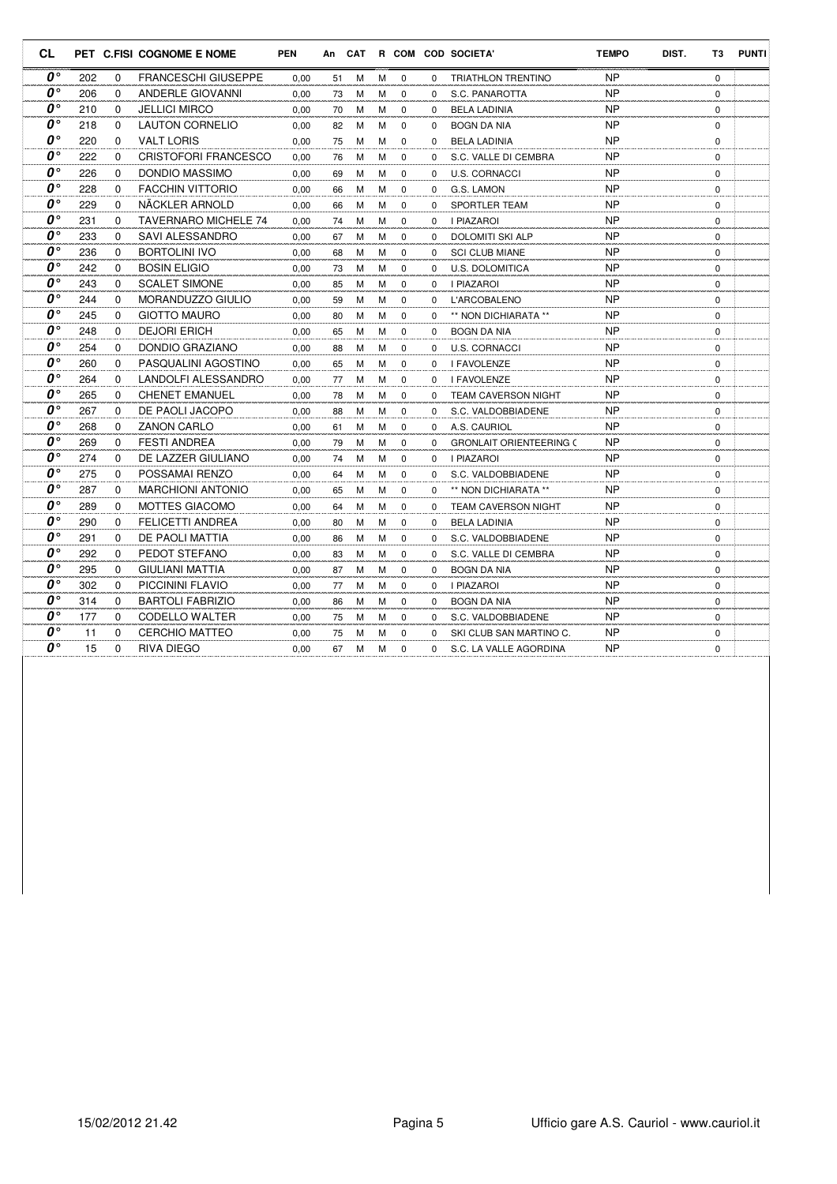| <b>CL</b>                           |     |             | PET C.FISI COGNOME E NOME   | <b>PEN</b> |    | An CAT |   |             |          | R COM COD SOCIETA'             | <b>TEMPO</b> | DIST. | T3          | <b>PUNTI</b> |
|-------------------------------------|-----|-------------|-----------------------------|------------|----|--------|---|-------------|----------|--------------------------------|--------------|-------|-------------|--------------|
| $\boldsymbol{0}$ °                  | 202 | 0           | <b>FRANCESCHI GIUSEPPE</b>  | 0,00       | 51 | M      | М | $\mathbf 0$ | 0        | <b>TRIATHLON TRENTINO</b>      | <b>NP</b>    |       | $\mathbf 0$ |              |
| O۰                                  | 206 | $\Omega$    | <b>ANDERLE GIOVANNI</b>     | 0,00       | 73 | M      | M | $\mathbf 0$ | $\Omega$ | S.C. PANAROTTA                 | <b>NP</b>    |       | 0           |              |
| $\boldsymbol{0}$ °                  | 210 | $\Omega$    | <b>JELLICI MIRCO</b>        | 0.00       | 70 | M      | M | $\mathbf 0$ | 0        | <b>BELA LADINIA</b>            | <b>NP</b>    |       | 0           |              |
| O۰                                  | 218 | 0           | <b>LAUTON CORNELIO</b>      | 0,00       | 82 | M      | М | $\mathbf 0$ | $\Omega$ | <b>BOGN DA NIA</b>             | <b>NP</b>    |       | 0           |              |
| O۰                                  | 220 | $\Omega$    | <b>VALT LORIS</b>           | 0,00       | 75 | M      | M | $\mathbf 0$ | $\Omega$ | <b>BELA LADINIA</b>            | <b>NP</b>    |       | $\Omega$    |              |
| O۰                                  | 222 | $\Omega$    | <b>CRISTOFORI FRANCESCO</b> | 0,00       | 76 | M      | М | $\mathbf 0$ | $\Omega$ | S.C. VALLE DI CEMBRA           | <b>NP</b>    |       | 0           |              |
| O۰                                  | 226 | $\Omega$    | DONDIO MASSIMO              | 0,00       | 69 | M      | М | $\mathbf 0$ | 0        | <b>U.S. CORNACCI</b>           | <b>NP</b>    |       | 0           |              |
| $\boldsymbol{0}$                    | 228 | $\Omega$    | <b>FACCHIN VITTORIO</b>     | 0.00       | 66 | M      | M | $\Omega$    | $\Omega$ | G.S. LAMON                     | <b>NP</b>    |       | $\Omega$    |              |
| O۰                                  | 229 | $\Omega$    | NÄCKLER ARNOLD              | 0,00       | 66 | M      | M | $\mathbf 0$ | $\Omega$ | SPORTLER TEAM                  | <b>NP</b>    |       | 0           |              |
| O۰                                  | 231 | 0           | <b>TAVERNARO MICHELE 74</b> | 0,00       | 74 | M      | М | $\mathbf 0$ | 0        | I PIAZAROI                     | <b>NP</b>    |       | 0           |              |
| O۰                                  | 233 | $\Omega$    | SAVI ALESSANDRO             | 0.00       | 67 | M      | M | $\Omega$    | $\Omega$ | <b>DOLOMITI SKI ALP</b>        | <b>NP</b>    |       | $\Omega$    |              |
| O۰                                  | 236 | $\Omega$    | <b>BORTOLINI IVO</b>        | 0,00       | 68 | M      | M | $\mathbf 0$ | 0        | <b>SCI CLUB MIANE</b>          | <b>NP</b>    |       | 0           |              |
| 0°                                  | 242 | 0           | <b>BOSIN ELIGIO</b>         | 0,00       | 73 | M      | М | $\mathbf 0$ | 0        | U.S. DOLOMITICA                | <b>NP</b>    |       | 0           |              |
| O۰                                  | 243 | $\Omega$    | <b>SCALET SIMONE</b>        | 0.00       | 85 | M      | M | $\mathbf 0$ | $\Omega$ | <b>I PIAZAROI</b>              | <b>NP</b>    |       | $\Omega$    |              |
| $\boldsymbol{0}$ °                  | 244 | 0           | MORANDUZZO GIULIO           | 0,00       | 59 | M      | М | $\mathbf 0$ | $\Omega$ | <b>L'ARCOBALENO</b>            | <b>NP</b>    |       | 0           |              |
| O۰                                  | 245 | $\Omega$    | <b>GIOTTO MAURO</b>         | 0,00       | 80 | M      | M | $\mathbf 0$ | 0        | ** NON DICHIARATA **           | <b>NP</b>    |       | 0           |              |
| o۰                                  | 248 | $\Omega$    | <b>DEJORI ERICH</b>         | 0,00       | 65 | M      | M | $\Omega$    | $\Omega$ | <b>BOGN DA NIA</b>             | <b>NP</b>    |       | 0           |              |
| $\boldsymbol{0}$                    | 254 | $\Omega$    | <b>DONDIO GRAZIANO</b>      | 0.00       | 88 | M      | M | $\mathbf 0$ | 0        | <b>U.S. CORNACCI</b>           | <b>NP</b>    |       | 0           |              |
| O۰                                  | 260 | $\Omega$    | PASQUALINI AGOSTINO         | 0,00       | 65 | M      | М | $\mathbf 0$ | 0        | I FAVOLENZE                    | <b>NP</b>    |       | 0           |              |
| o۰                                  | 264 | $\Omega$    | <b>LANDOLFI ALESSANDRO</b>  | 0,00       | 77 | M      | M | $\mathbf 0$ | $\Omega$ | I FAVOLENZE                    | <b>NP</b>    |       | $\mathbf 0$ |              |
| $\boldsymbol{o} \circ$              | 265 | $\Omega$    | <b>CHENET EMANUEL</b>       | 0.00       | 78 | M      | M | $\mathbf 0$ | $\Omega$ | <b>TEAM CAVERSON NIGHT</b>     | <b>NP</b>    |       | 0           |              |
| O۰                                  | 267 | $\mathbf 0$ | DE PAOLI JACOPO             | 0,00       | 88 | M      | M | 0           | 0        | S.C. VALDOBBIADENE             | <b>NP</b>    |       | 0           |              |
| O۰                                  | 268 | $\Omega$    | <b>ZANON CARLO</b>          | 0.00       | 61 | M      | M | $\Omega$    | $\Omega$ | A.S. CAURIOL                   | <b>NP</b>    |       | $\Omega$    |              |
| O۰                                  | 269 | 0           | <b>FESTI ANDREA</b>         | 0,00       | 79 | M      | M | $\mathbf 0$ | $\Omega$ | <b>GRONLAIT ORIENTEERING (</b> | <b>NP</b>    |       | 0           |              |
| O۰                                  | 274 | $\Omega$    | DE LAZZER GIULIANO          | 0,00       | 74 | M      | М | $\mathbf 0$ | $\Omega$ | <b>I PIAZAROI</b>              | <b>NP</b>    |       | 0           |              |
| O۰                                  | 275 | $\Omega$    | POSSAMAI RENZO              | 0.00       | 64 | M      | M | $\Omega$    | $\Omega$ | S.C. VALDOBBIADENE             | <b>NP</b>    |       | $\Omega$    |              |
| $\boldsymbol{0}$                    | 287 | $\Omega$    | <b>MARCHIONI ANTONIO</b>    | 0,00       | 65 | M      | M | $\mathbf 0$ | 0        | ** NON DICHIARATA **           | <b>NP</b>    |       | 0           |              |
| 0°                                  | 289 | $\Omega$    | MOTTES GIACOMO              | 0,00       | 64 | M      | М | $\mathbf 0$ | 0        | <b>TEAM CAVERSON NIGHT</b>     | <b>NP</b>    |       | 0           |              |
| o۰                                  | 290 | $\Omega$    | FELICETTI ANDREA            | 0.00       | 80 | M      | М | $\mathbf 0$ | $\Omega$ | <b>BELA LADINIA</b>            | <b>NP</b>    |       | $\Omega$    |              |
| $0^{\circ}$                         | 291 | $\Omega$    | DE PAOLI MATTIA             | 0,00       | 86 | M      | M | $\mathbf 0$ | $\Omega$ | S.C. VALDOBBIADENE             | <b>NP</b>    |       | 0           |              |
| $\overline{\boldsymbol{0}}^{\circ}$ | 292 | $\mathbf 0$ | PEDOT STEFANO               | 0,00       | 83 | M      | M | $\mathbf 0$ | 0        | S.C. VALLE DI CEMBRA           | <b>NP</b>    |       | 0           |              |
| O۰                                  | 295 | $\Omega$    | GIULIANI MATTIA             | 0.00       | 87 | M      | M | 0           | $\Omega$ | <b>BOGN DA NIA</b>             | <b>NP</b>    |       | $\Omega$    |              |
| O۰                                  | 302 | $\Omega$    | <b>PICCININI FLAVIO</b>     | 0,00       | 77 | M      | М | 0           | $\Omega$ | <b>I PIAZAROI</b>              | <b>NP</b>    |       | 0           |              |
| O۰                                  | 314 | 0           | <b>BARTOLI FABRIZIO</b>     | 0,00       | 86 | M      | М | $\mathbf 0$ | 0        | <b>BOGN DA NIA</b>             | <b>NP</b>    |       | 0           |              |
| O۰                                  | 177 | $\Omega$    | CODELLO WALTER              | 0.00       | 75 | M      | М | 0           | 0        | S.C. VALDOBBIADENE             | <b>NP</b>    |       | 0           |              |
| $\boldsymbol{0}$                    | 11  | $\Omega$    | <b>CERCHIO MATTEO</b>       | 0.00       | 75 | M      | М | $\Omega$    | $\Omega$ | SKI CLUB SAN MARTINO C.        | <b>NP</b>    |       | 0           |              |
| $0^{\circ}$                         | 15  | $\Omega$    | RIVA DIEGO                  | 0,00       | 67 | M      | М | $\Omega$    | $\Omega$ | S.C. LA VALLE AGORDINA         | <b>NP</b>    |       | 0           |              |